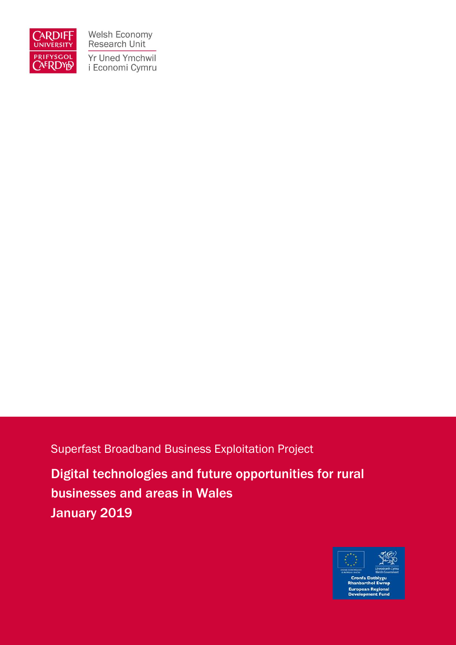

Welsh Economy Research Unit Yr Uned Ymchwil i Economi Cymru

Superfast Broadband Business Exploitation Project

Digital technologies and future opportunities for rural businesses and areas in Wales January 2019

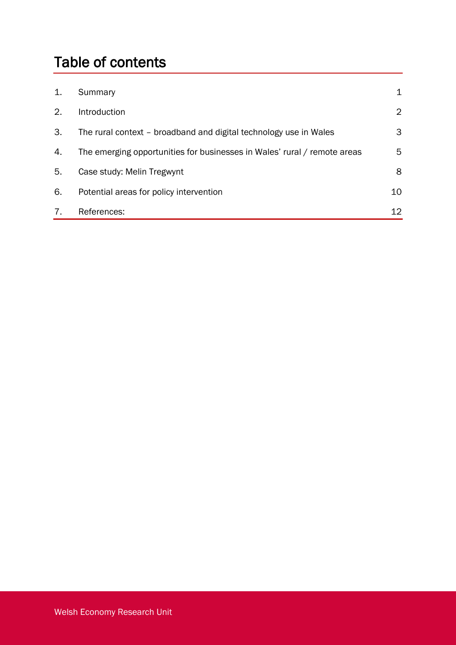# Table of contents

| 1. | Summary                                                                  | 1              |
|----|--------------------------------------------------------------------------|----------------|
| 2. | Introduction                                                             | $\overline{2}$ |
| 3. | The rural context – broadband and digital technology use in Wales        | 3              |
| 4. | The emerging opportunities for businesses in Wales' rural / remote areas | 5.             |
| 5. | Case study: Melin Tregwynt                                               | 8              |
| 6. | Potential areas for policy intervention                                  | 10             |
| 7. | References:                                                              | 12             |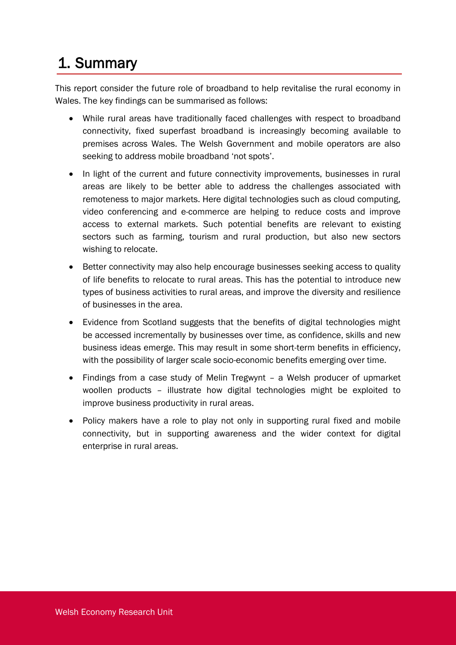## 1. Summary

This report consider the future role of broadband to help revitalise the rural economy in Wales. The key findings can be summarised as follows:

- While rural areas have traditionally faced challenges with respect to broadband connectivity, fixed superfast broadband is increasingly becoming available to premises across Wales. The Welsh Government and mobile operators are also seeking to address mobile broadband 'not spots'.
- In light of the current and future connectivity improvements, businesses in rural areas are likely to be better able to address the challenges associated with remoteness to major markets. Here digital technologies such as cloud computing, video conferencing and e-commerce are helping to reduce costs and improve access to external markets. Such potential benefits are relevant to existing sectors such as farming, tourism and rural production, but also new sectors wishing to relocate.
- Better connectivity may also help encourage businesses seeking access to quality of life benefits to relocate to rural areas. This has the potential to introduce new types of business activities to rural areas, and improve the diversity and resilience of businesses in the area.
- Evidence from Scotland suggests that the benefits of digital technologies might be accessed incrementally by businesses over time, as confidence, skills and new business ideas emerge. This may result in some short-term benefits in efficiency, with the possibility of larger scale socio-economic benefits emerging over time.
- Findings from a case study of Melin Tregwynt a Welsh producer of upmarket woollen products – illustrate how digital technologies might be exploited to improve business productivity in rural areas.
- Policy makers have a role to play not only in supporting rural fixed and mobile connectivity, but in supporting awareness and the wider context for digital enterprise in rural areas.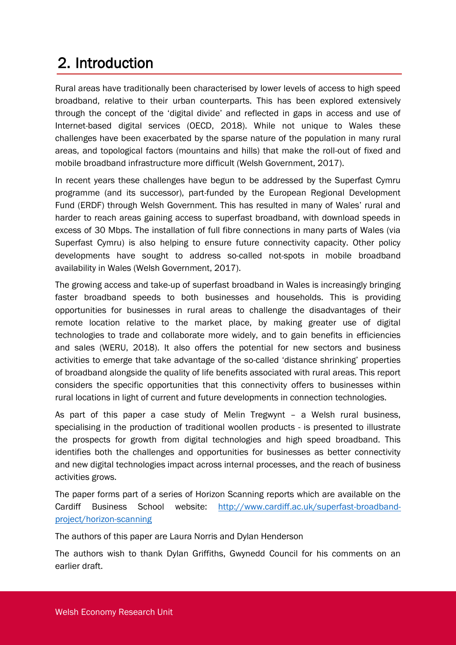## 2. Introduction

Rural areas have traditionally been characterised by lower levels of access to high speed broadband, relative to their urban counterparts. This has been explored extensively through the concept of the 'digital divide' and reflected in gaps in access and use of Internet-based digital services (OECD, 2018). While not unique to Wales these challenges have been exacerbated by the sparse nature of the population in many rural areas, and topological factors (mountains and hills) that make the roll-out of fixed and mobile broadband infrastructure more difficult (Welsh Government, 2017).

In recent years these challenges have begun to be addressed by the Superfast Cymru programme (and its successor), part-funded by the European Regional Development Fund (ERDF) through Welsh Government. This has resulted in many of Wales' rural and harder to reach areas gaining access to superfast broadband, with download speeds in excess of 30 Mbps. The installation of full fibre connections in many parts of Wales (via Superfast Cymru) is also helping to ensure future connectivity capacity. Other policy developments have sought to address so-called not-spots in mobile broadband availability in Wales (Welsh Government, 2017).

The growing access and take-up of superfast broadband in Wales is increasingly bringing faster broadband speeds to both businesses and households. This is providing opportunities for businesses in rural areas to challenge the disadvantages of their remote location relative to the market place, by making greater use of digital technologies to trade and collaborate more widely, and to gain benefits in efficiencies and sales (WERU, 2018). It also offers the potential for new sectors and business activities to emerge that take advantage of the so-called 'distance shrinking' properties of broadband alongside the quality of life benefits associated with rural areas. This report considers the specific opportunities that this connectivity offers to businesses within rural locations in light of current and future developments in connection technologies.

As part of this paper a case study of Melin Tregwynt – a Welsh rural business, specialising in the production of traditional woollen products - is presented to illustrate the prospects for growth from digital technologies and high speed broadband. This identifies both the challenges and opportunities for businesses as better connectivity and new digital technologies impact across internal processes, and the reach of business activities grows.

The paper forms part of a series of Horizon Scanning reports which are available on the Cardiff Business School website: [http://www.cardiff.ac.uk/superfast-broadband](http://www.cardiff.ac.uk/superfast-broadband-project/horizon-scanning)[project/horizon-scanning](http://www.cardiff.ac.uk/superfast-broadband-project/horizon-scanning)

The authors of this paper are Laura Norris and Dylan Henderson

The authors wish to thank Dylan Griffiths, Gwynedd Council for his comments on an earlier draft.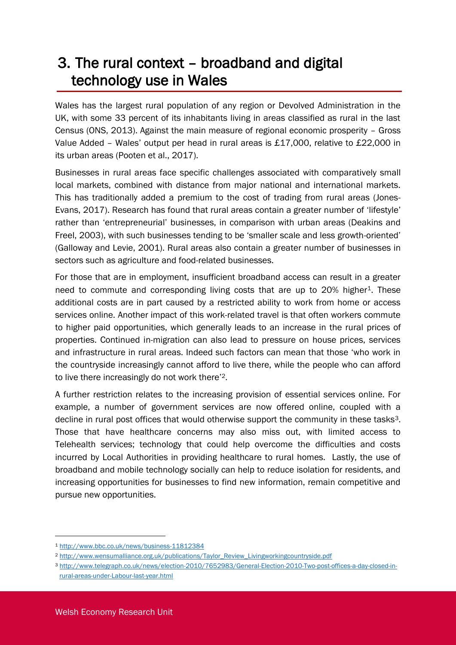#### 3. The rural context – broadband and digital technology use in Wales

Wales has the largest rural population of any region or Devolved Administration in the UK, with some 33 percent of its inhabitants living in areas classified as rural in the last Census (ONS, 2013). Against the main measure of regional economic prosperity – Gross Value Added – Wales' output per head in rural areas is £17,000, relative to £22,000 in its urban areas (Pooten et al., 2017).

Businesses in rural areas face specific challenges associated with comparatively small local markets, combined with distance from major national and international markets. This has traditionally added a premium to the cost of trading from rural areas (Jones-Evans, 2017). Research has found that rural areas contain a greater number of 'lifestyle' rather than 'entrepreneurial' businesses, in comparison with urban areas (Deakins and Freel, 2003), with such businesses tending to be 'smaller scale and less growth-oriented' (Galloway and Levie, 2001). Rural areas also contain a greater number of businesses in sectors such as agriculture and food-related businesses.

For those that are in employment, insufficient broadband access can result in a greater need to commute and corresponding living costs that are up to 20% higher<sup>1</sup>. These additional costs are in part caused by a restricted ability to work from home or access services online. Another impact of this work-related travel is that often workers commute to higher paid opportunities, which generally leads to an increase in the rural prices of properties. Continued in-migration can also lead to pressure on house prices, services and infrastructure in rural areas. Indeed such factors can mean that those 'who work in the countryside increasingly cannot afford to live there, while the people who can afford to live there increasingly do not work there'2.

A further restriction relates to the increasing provision of essential services online. For example, a number of government services are now offered online, coupled with a decline in rural post offices that would otherwise support the community in these tasks<sup>3</sup>. Those that have healthcare concerns may also miss out, with limited access to Telehealth services; technology that could help overcome the difficulties and costs incurred by Local Authorities in providing healthcare to rural homes. Lastly, the use of broadband and mobile technology socially can help to reduce isolation for residents, and increasing opportunities for businesses to find new information, remain competitive and pursue new opportunities.

-

<sup>1</sup> <http://www.bbc.co.uk/news/business-11812384>

<sup>2</sup> [http://www.wensumalliance.org.uk/publications/Taylor\\_Review\\_Livingworkingcountryside.pdf](http://www.wensumalliance.org.uk/publications/Taylor_Review_Livingworkingcountryside.pdf)

<sup>3</sup> [http://www.telegraph.co.uk/news/election-2010/7652983/General-Election-2010-Two-post-offices-a-day-closed-in](http://www.telegraph.co.uk/news/election-2010/7652983/General-Election-2010-Two-post-offices-a-day-closed-in-rural-areas-under-Labour-last-year.html)[rural-areas-under-Labour-last-year.html](http://www.telegraph.co.uk/news/election-2010/7652983/General-Election-2010-Two-post-offices-a-day-closed-in-rural-areas-under-Labour-last-year.html)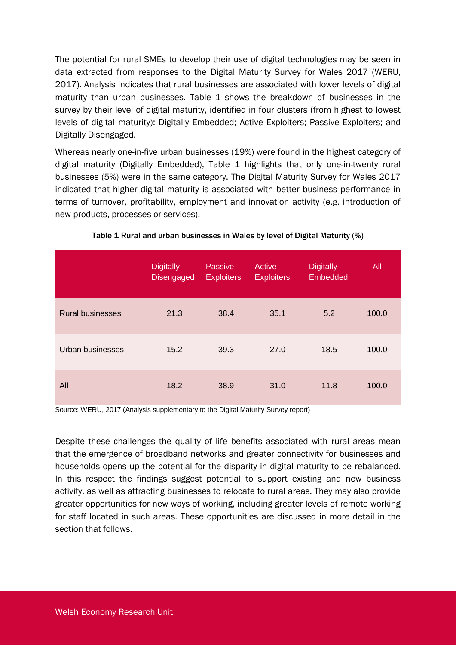The potential for rural SMEs to develop their use of digital technologies may be seen in data extracted from responses to the Digital Maturity Survey for Wales 2017 (WERU, 2017). Analysis indicates that rural businesses are associated with lower levels of digital maturity than urban businesses. Table 1 shows the breakdown of businesses in the survey by their level of digital maturity, identified in four clusters (from highest to lowest levels of digital maturity): Digitally Embedded; Active Exploiters; Passive Exploiters; and Digitally Disengaged.

Whereas nearly one-in-five urban businesses (19%) were found in the highest category of digital maturity (Digitally Embedded), Table 1 highlights that only one-in-twenty rural businesses (5%) were in the same category. The Digital Maturity Survey for Wales 2017 indicated that higher digital maturity is associated with better business performance in terms of turnover, profitability, employment and innovation activity (e.g. introduction of new products, processes or services).

|                         | <b>Digitally</b><br><b>Disengaged</b> | Passive<br><b>Exploiters</b> | Active<br><b>Exploiters</b> | <b>Digitally</b><br>Embedded | All   |
|-------------------------|---------------------------------------|------------------------------|-----------------------------|------------------------------|-------|
| <b>Rural businesses</b> | 21.3                                  | 38.4                         | 35.1                        | 5.2                          | 100.0 |
| Urban businesses        | 15.2                                  | 39.3                         | 27.0                        | 18.5                         | 100.0 |
| All                     | 18.2                                  | 38.9                         | 31.0                        | 11.8                         | 100.0 |

#### Table 1 Rural and urban businesses in Wales by level of Digital Maturity (%)

Source: WERU, 2017 (Analysis supplementary to the Digital Maturity Survey report)

Despite these challenges the quality of life benefits associated with rural areas mean that the emergence of broadband networks and greater connectivity for businesses and households opens up the potential for the disparity in digital maturity to be rebalanced. In this respect the findings suggest potential to support existing and new business activity, as well as attracting businesses to relocate to rural areas. They may also provide greater opportunities for new ways of working, including greater levels of remote working for staff located in such areas. These opportunities are discussed in more detail in the section that follows.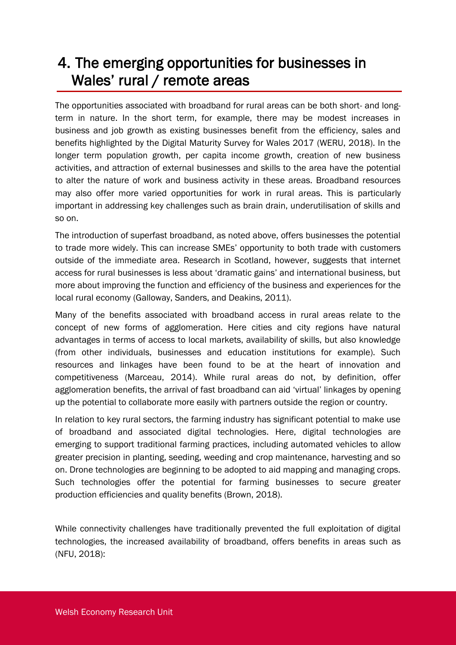## 4. The emerging opportunities for businesses in Wales' rural / remote areas

The opportunities associated with broadband for rural areas can be both short- and longterm in nature. In the short term, for example, there may be modest increases in business and job growth as existing businesses benefit from the efficiency, sales and benefits highlighted by the Digital Maturity Survey for Wales 2017 (WERU, 2018). In the longer term population growth, per capita income growth, creation of new business activities, and attraction of external businesses and skills to the area have the potential to alter the nature of work and business activity in these areas. Broadband resources may also offer more varied opportunities for work in rural areas. This is particularly important in addressing key challenges such as brain drain, underutilisation of skills and so on.

The introduction of superfast broadband, as noted above, offers businesses the potential to trade more widely. This can increase SMEs' opportunity to both trade with customers outside of the immediate area. Research in Scotland, however, suggests that internet access for rural businesses is less about 'dramatic gains' and international business, but more about improving the function and efficiency of the business and experiences for the local rural economy (Galloway, Sanders, and Deakins, 2011).

Many of the benefits associated with broadband access in rural areas relate to the concept of new forms of agglomeration. Here cities and city regions have natural advantages in terms of access to local markets, availability of skills, but also knowledge (from other individuals, businesses and education institutions for example). Such resources and linkages have been found to be at the heart of innovation and competitiveness (Marceau, 2014). While rural areas do not, by definition, offer agglomeration benefits, the arrival of fast broadband can aid 'virtual' linkages by opening up the potential to collaborate more easily with partners outside the region or country.

In relation to key rural sectors, the farming industry has significant potential to make use of broadband and associated digital technologies. Here, digital technologies are emerging to support traditional farming practices, including automated vehicles to allow greater precision in planting, seeding, weeding and crop maintenance, harvesting and so on. Drone technologies are beginning to be adopted to aid mapping and managing crops. Such technologies offer the potential for farming businesses to secure greater production efficiencies and quality benefits (Brown, 2018).

While connectivity challenges have traditionally prevented the full exploitation of digital technologies, the increased availability of broadband, offers benefits in areas such as (NFU, 2018):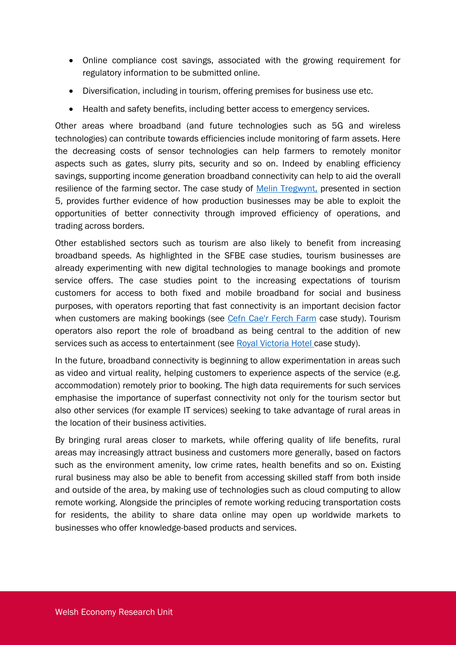- Online compliance cost savings, associated with the growing requirement for regulatory information to be submitted online.
- Diversification, including in tourism, offering premises for business use etc.
- Health and safety benefits, including better access to emergency services.

Other areas where broadband (and future technologies such as 5G and wireless technologies) can contribute towards efficiencies include monitoring of farm assets. Here the decreasing costs of sensor technologies can help farmers to remotely monitor aspects such as gates, slurry pits, security and so on. Indeed by enabling efficiency savings, supporting income generation broadband connectivity can help to aid the overall resilience of the farming sector. The case study of [Melin Tregwynt,](https://www.cardiff.ac.uk/superfast-broadband-project/case-studies/production/melin-tregwynt) presented in section [5,](#page-9-0) provides further evidence of how production businesses may be able to exploit the opportunities of better connectivity through improved efficiency of operations, and trading across borders.

Other established sectors such as tourism are also likely to benefit from increasing broadband speeds. As highlighted in the SFBE case studies, tourism businesses are already experimenting with new digital technologies to manage bookings and promote service offers. The case studies point to the increasing expectations of tourism customers for access to both fixed and mobile broadband for social and business purposes, with operators reporting that fast connectivity is an important decision factor when customers are making bookings (see [Cefn Cae'r Ferch Farm](https://www.cardiff.ac.uk/superfast-broadband-project/case-studies/production/cefn-caer-ferch-farm) case study). Tourism operators also report the role of broadband as being central to the addition of new services such as access to entertainment (see [Royal Victoria Hotel case study\)](https://www.cardiff.ac.uk/superfast-broadband-project/case-studies/royal-victoria-hotel).

In the future, broadband connectivity is beginning to allow experimentation in areas such as video and virtual reality, helping customers to experience aspects of the service (e.g. accommodation) remotely prior to booking. The high data requirements for such services emphasise the importance of superfast connectivity not only for the tourism sector but also other services (for example IT services) seeking to take advantage of rural areas in the location of their business activities.

By bringing rural areas closer to markets, while offering quality of life benefits, rural areas may increasingly attract business and customers more generally, based on factors such as the environment amenity, low crime rates, health benefits and so on. Existing rural business may also be able to benefit from accessing skilled staff from both inside and outside of the area, by making use of technologies such as cloud computing to allow remote working. Alongside the principles of remote working reducing transportation costs for residents, the ability to share data online may open up worldwide markets to businesses who offer knowledge-based products and services.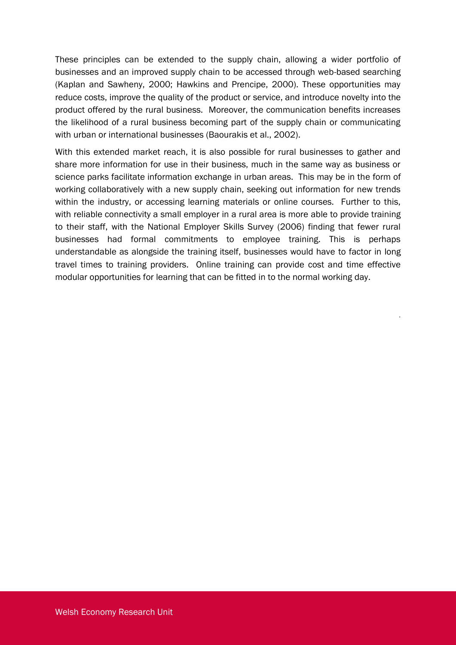These principles can be extended to the supply chain, allowing a wider portfolio of businesses and an improved supply chain to be accessed through web-based searching (Kaplan and Sawheny, 2000; Hawkins and Prencipe, 2000). These opportunities may reduce costs, improve the quality of the product or service, and introduce novelty into the product offered by the rural business. Moreover, the communication benefits increases the likelihood of a rural business becoming part of the supply chain or communicating with urban or international businesses (Baourakis et al., 2002).

With this extended market reach, it is also possible for rural businesses to gather and share more information for use in their business, much in the same way as business or science parks facilitate information exchange in urban areas. This may be in the form of working collaboratively with a new supply chain, seeking out information for new trends within the industry, or accessing learning materials or online courses. Further to this, with reliable connectivity a small employer in a rural area is more able to provide training to their staff, with the National Employer Skills Survey (2006) finding that fewer rural businesses had formal commitments to employee training. This is perhaps understandable as alongside the training itself, businesses would have to factor in long travel times to training providers. Online training can provide cost and time effective modular opportunities for learning that can be fitted in to the normal working day.

.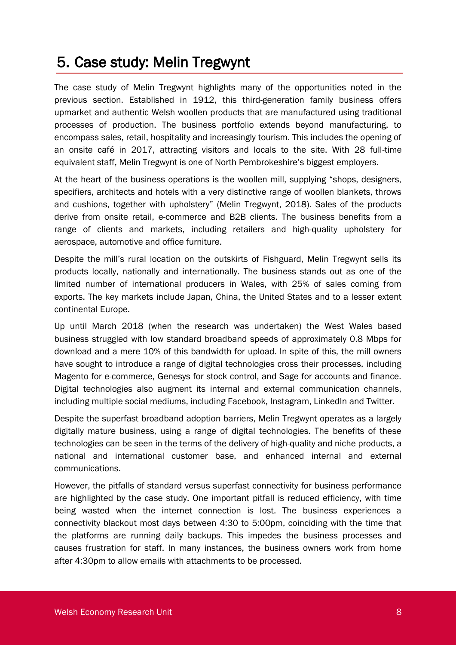#### <span id="page-9-0"></span>5. Case study: Melin Tregwynt

The case study of [Melin Tregwynt](https://www.cardiff.ac.uk/superfast-broadband-project/case-studies/production/melin-tregwynt) highlights many of the opportunities noted in the previous section. Established in 1912, this third-generation family business offers upmarket and authentic Welsh woollen products that are manufactured using traditional processes of production. The business portfolio extends beyond manufacturing, to encompass sales, retail, hospitality and increasingly tourism. This includes the opening of an onsite café in 2017, attracting visitors and locals to the site. With 28 full-time equivalent staff, Melin Tregwynt is one of North Pembrokeshire's biggest employers.

At the heart of the business operations is the woollen mill, supplying "shops, designers, specifiers, architects and hotels with a very distinctive range of woollen blankets, throws and cushions, together with upholstery" (Melin Tregwynt, 2018). Sales of the products derive from onsite retail, e-commerce and B2B clients. The business benefits from a range of clients and markets, including retailers and high-quality upholstery for aerospace, automotive and office furniture.

Despite the mill's rural location on the outskirts of Fishguard, Melin Tregwynt sells its products locally, nationally and internationally. The business stands out as one of the limited number of international producers in Wales, with 25% of sales coming from exports. The key markets include Japan, China, the United States and to a lesser extent continental Europe.

Up until March 2018 (when the research was undertaken) the West Wales based business struggled with low standard broadband speeds of approximately 0.8 Mbps for download and a mere 10% of this bandwidth for upload. In spite of this, the mill owners have sought to introduce a range of digital technologies cross their processes, including Magento for e-commerce, Genesys for stock control, and Sage for accounts and finance. Digital technologies also augment its internal and external communication channels, including multiple social mediums, including Facebook, Instagram, LinkedIn and Twitter.

Despite the superfast broadband adoption barriers, Melin Tregwynt operates as a largely digitally mature business, using a range of digital technologies. The benefits of these technologies can be seen in the terms of the delivery of high-quality and niche products, a national and international customer base, and enhanced internal and external communications.

However, the pitfalls of standard versus superfast connectivity for business performance are highlighted by the case study. One important pitfall is reduced efficiency, with time being wasted when the internet connection is lost. The business experiences a connectivity blackout most days between 4:30 to 5:00pm, coinciding with the time that the platforms are running daily backups. This impedes the business processes and causes frustration for staff. In many instances, the business owners work from home after 4:30pm to allow emails with attachments to be processed.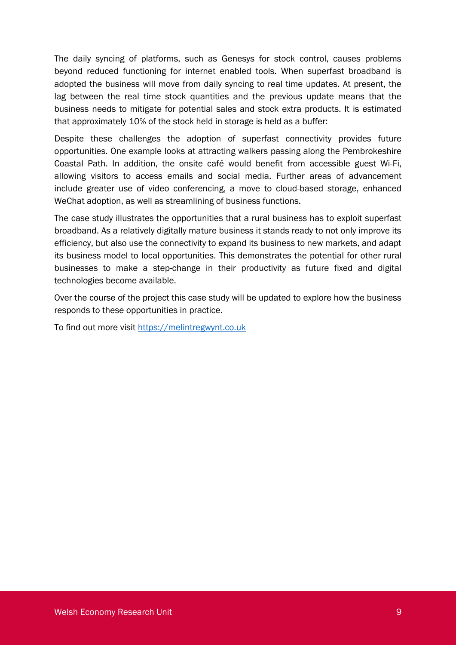The daily syncing of platforms, such as Genesys for stock control, causes problems beyond reduced functioning for internet enabled tools. When superfast broadband is adopted the business will move from daily syncing to real time updates. At present, the lag between the real time stock quantities and the previous update means that the business needs to mitigate for potential sales and stock extra products. It is estimated that approximately 10% of the stock held in storage is held as a buffer:

Despite these challenges the adoption of superfast connectivity provides future opportunities. One example looks at attracting walkers passing along the Pembrokeshire Coastal Path. In addition, the onsite café would benefit from accessible guest Wi-Fi, allowing visitors to access emails and social media. Further areas of advancement include greater use of video conferencing, a move to cloud-based storage, enhanced WeChat adoption, as well as streamlining of business functions.

The case study illustrates the opportunities that a rural business has to exploit superfast broadband. As a relatively digitally mature business it stands ready to not only improve its efficiency, but also use the connectivity to expand its business to new markets, and adapt its business model to local opportunities. This demonstrates the potential for other rural businesses to make a step-change in their productivity as future fixed and digital technologies become available.

Over the course of the project this case study will be updated to explore how the business responds to these opportunities in practice.

To find out more visit [https://melintregwynt.co.uk](https://melintregwynt.co.uk/)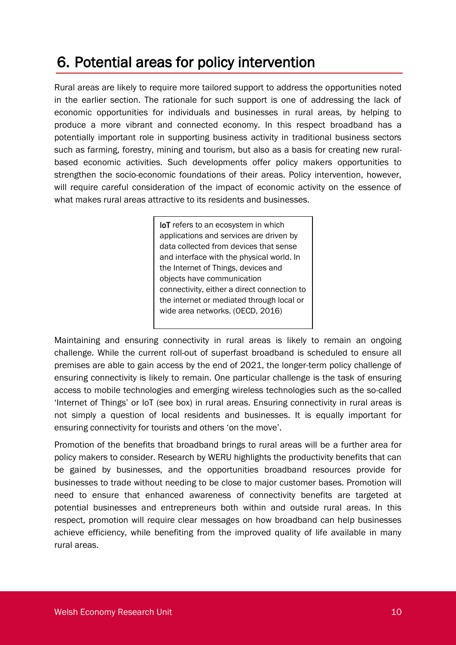## 6. Potential areas for policy intervention

Rural areas are likely to require more tailored support to address the opportunities noted in the earlier section. The rationale for such support is one of addressing the lack of economic opportunities for individuals and businesses in rural areas, by helping to produce a more vibrant and connected economy. In this respect broadband has a potentially important role in supporting business activity in traditional business sectors such as farming, forestry, mining and tourism, but also as a basis for creating new ruralbased economic activities. Such developments offer policy makers opportunities to strengthen the socio-economic foundations of their areas. Policy intervention, however, will require careful consideration of the impact of economic activity on the essence of what makes rural areas attractive to its residents and businesses.

> **IoT** refers to an ecosystem in which applications and services are driven by data collected from devices that sense and interface with the physical world. In the Internet of Things, devices and objects have communication connectivity, either a direct connection to the internet or mediated through local or wide area networks. (OECD, 2016)

Maintaining and ensuring connectivity in rural areas is likely to remain an ongoing challenge. While the current roll-out of superfast broadband is scheduled to ensure all premises are able to gain access by the end of 2021, the longer-term policy challenge of ensuring connectivity is likely to remain. One particular challenge is the task of ensuring access to mobile technologies and emerging wireless technologies such as the so-called 'Internet of Things' or IoT (see box) in rural areas. Ensuring connectivity in rural areas is not simply a question of local residents and businesses. It is equally important for ensuring connectivity for tourists and others 'on the move'.

Promotion of the benefits that broadband brings to rural areas will be a further area for policy makers to consider. Research by WERU highlights the productivity benefits that can be gained by businesses, and the opportunities broadband resources provide for businesses to trade without needing to be close to major customer bases. Promotion will need to ensure that enhanced awareness of connectivity benefits are targeted at potential businesses and entrepreneurs both within and outside rural areas. In this respect, promotion will require clear messages on how broadband can help businesses achieve efficiency, while benefiting from the improved quality of life available in many rural areas.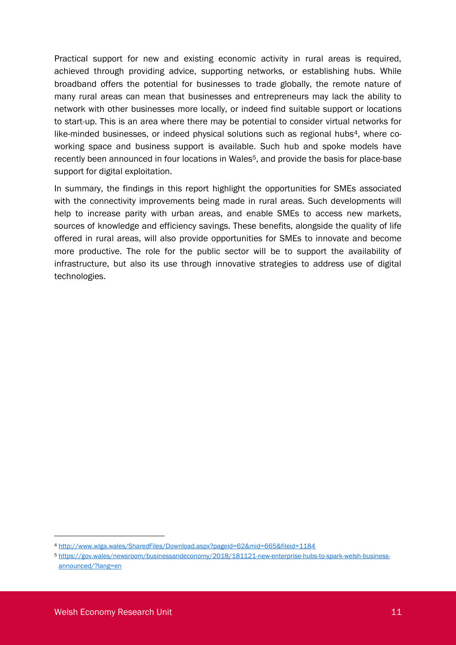Practical support for new and existing economic activity in rural areas is required, achieved through providing advice, supporting networks, or establishing hubs. While broadband offers the potential for businesses to trade globally, the remote nature of many rural areas can mean that businesses and entrepreneurs may lack the ability to network with other businesses more locally, or indeed find suitable support or locations to start-up. This is an area where there may be potential to consider virtual networks for like-minded businesses, or indeed physical solutions such as regional hubs<sup>4</sup>, where coworking space and business support is available. Such hub and spoke models have recently been announced in four locations in Wales<sup>5</sup>, and provide the basis for place-base support for digital exploitation.

In summary, the findings in this report highlight the opportunities for SMEs associated with the connectivity improvements being made in rural areas. Such developments will help to increase parity with urban areas, and enable SMEs to access new markets, sources of knowledge and efficiency savings. These benefits, alongside the quality of life offered in rural areas, will also provide opportunities for SMEs to innovate and become more productive. The role for the public sector will be to support the availability of infrastructure, but also its use through innovative strategies to address use of digital technologies.

<sup>4</sup> <http://www.wlga.wales/SharedFiles/Download.aspx?pageid=62&mid=665&fileid=1184>

<sup>5</sup> [https://gov.wales/newsroom/businessandeconomy/2018/181121-new-enterprise-hubs-to-spark-welsh-business](https://gov.wales/newsroom/businessandeconomy/2018/181121-new-enterprise-hubs-to-spark-welsh-business-announced/?lang=en)[announced/?lang=en](https://gov.wales/newsroom/businessandeconomy/2018/181121-new-enterprise-hubs-to-spark-welsh-business-announced/?lang=en)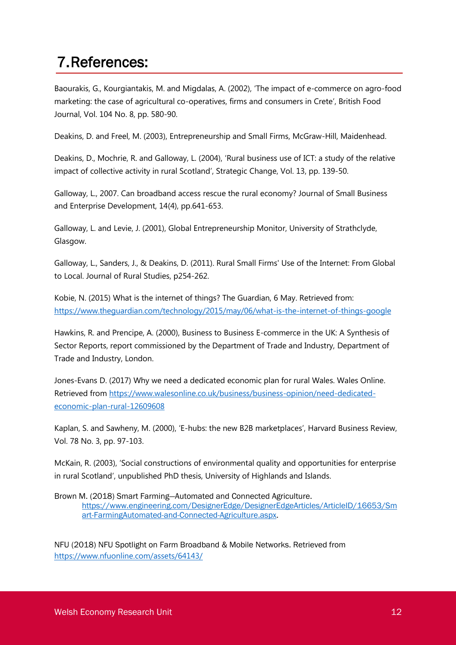#### 7.References:

Baourakis, G., Kourgiantakis, M. and Migdalas, A. (2002), 'The impact of e-commerce on agro-food marketing: the case of agricultural co-operatives, firms and consumers in Crete', British Food Journal, Vol. 104 No. 8, pp. 580-90.

Deakins, D. and Freel, M. (2003), Entrepreneurship and Small Firms, McGraw-Hill, Maidenhead.

Deakins, D., Mochrie, R. and Galloway, L. (2004), 'Rural business use of ICT: a study of the relative impact of collective activity in rural Scotland', Strategic Change, Vol. 13, pp. 139-50.

Galloway, L., 2007. Can broadband access rescue the rural economy? Journal of Small Business and Enterprise Development, 14(4), pp.641-653.

Galloway, L. and Levie, J. (2001), Global Entrepreneurship Monitor, University of Strathclyde, Glasgow.

Galloway, L., Sanders, J., & Deakins, D. (2011). Rural Small Firms' Use of the Internet: From Global to Local. Journal of Rural Studies, p254-262.

Kobie, N. (2015) What is the internet of things? The Guardian, 6 May. Retrieved from: <https://www.theguardian.com/technology/2015/may/06/what-is-the-internet-of-things-google>

Hawkins, R. and Prencipe, A. (2000), Business to Business E-commerce in the UK: A Synthesis of Sector Reports, report commissioned by the Department of Trade and Industry, Department of Trade and Industry, London.

Jones-Evans D. (2017) Why we need a dedicated economic plan for rural Wales. Wales Online. Retrieved from [https://www.walesonline.co.uk/business/business-opinion/need-dedicated](https://www.walesonline.co.uk/business/business-opinion/need-dedicated-economic-plan-rural-12609608)[economic-plan-rural-12609608](https://www.walesonline.co.uk/business/business-opinion/need-dedicated-economic-plan-rural-12609608)

Kaplan, S. and Sawheny, M. (2000), 'E-hubs: the new B2B marketplaces', Harvard Business Review, Vol. 78 No. 3, pp. 97-103.

McKain, R. (2003), 'Social constructions of environmental quality and opportunities for enterprise in rural Scotland', unpublished PhD thesis, University of Highlands and Islands.

Brown M. (2018) Smart Farming—Automated and Connected Agriculture. [https://www.engineering.com/DesignerEdge/DesignerEdgeArticles/ArticleID/16653/Sm](https://www.engineering.com/DesignerEdge/DesignerEdgeArticles/ArticleID/16653/Smart-FarmingAutomated-and-Connected-Agriculture.aspx) [art-FarmingAutomated-and-Connected-Agriculture.aspx.](https://www.engineering.com/DesignerEdge/DesignerEdgeArticles/ArticleID/16653/Smart-FarmingAutomated-and-Connected-Agriculture.aspx)

NFU (2018) NFU Spotlight on Farm Broadband & Mobile Networks. Retrieved from <https://www.nfuonline.com/assets/64143/>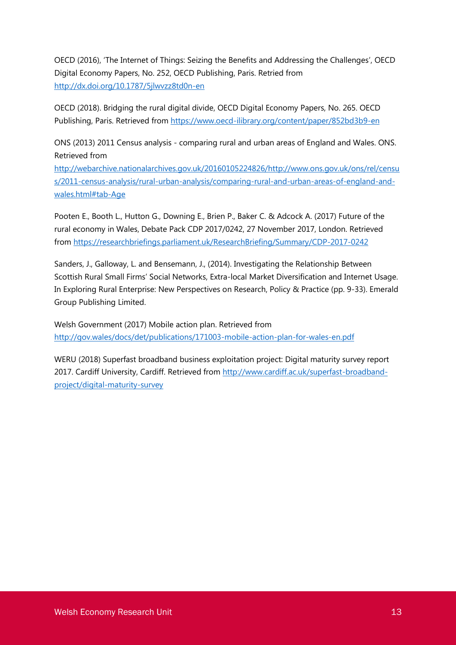OECD (2016), 'The Internet of Things: Seizing the Benefits and Addressing the Challenges', OECD Digital Economy Papers, No. 252, OECD Publishing, Paris. Retried from <http://dx.doi.org/10.1787/5jlwvzz8td0n-en>

OECD (2018). Bridging the rural digital divide, OECD Digital Economy Papers, No. 265. OECD Publishing, Paris. Retrieved from<https://www.oecd-ilibrary.org/content/paper/852bd3b9-en>

ONS (2013) 2011 Census analysis - comparing rural and urban areas of England and Wales. ONS. Retrieved from

[http://webarchive.nationalarchives.gov.uk/20160105224826/http://www.ons.gov.uk/ons/rel/censu](http://webarchive.nationalarchives.gov.uk/20160105224826/http:/www.ons.gov.uk/ons/rel/census/2011-census-analysis/rural-urban-analysis/comparing-rural-and-urban-areas-of-england-and-wales.html#tab-Age) [s/2011-census-analysis/rural-urban-analysis/comparing-rural-and-urban-areas-of-england-and](http://webarchive.nationalarchives.gov.uk/20160105224826/http:/www.ons.gov.uk/ons/rel/census/2011-census-analysis/rural-urban-analysis/comparing-rural-and-urban-areas-of-england-and-wales.html#tab-Age)[wales.html#tab-Age](http://webarchive.nationalarchives.gov.uk/20160105224826/http:/www.ons.gov.uk/ons/rel/census/2011-census-analysis/rural-urban-analysis/comparing-rural-and-urban-areas-of-england-and-wales.html#tab-Age)

Pooten E., Booth L., Hutton G., Downing E., Brien P., Baker C. & Adcock A. (2017) Future of the rural economy in Wales, Debate Pack CDP 2017/0242, 27 November 2017, London. Retrieved from<https://researchbriefings.parliament.uk/ResearchBriefing/Summary/CDP-2017-0242>

Sanders, J., Galloway, L. and Bensemann, J., (2014). Investigating the Relationship Between Scottish Rural Small Firms' Social Networks, Extra-local Market Diversification and Internet Usage. In Exploring Rural Enterprise: New Perspectives on Research, Policy & Practice (pp. 9-33). Emerald Group Publishing Limited.

Welsh Government (2017) Mobile action plan. Retrieved from <http://gov.wales/docs/det/publications/171003-mobile-action-plan-for-wales-en.pdf>

WERU (2018) Superfast broadband business exploitation project: Digital maturity survey report 2017. Cardiff University, Cardiff. Retrieved from [http://www.cardiff.ac.uk/superfast-broadband](http://www.cardiff.ac.uk/superfast-broadband-project/digital-maturity-survey)[project/digital-maturity-survey](http://www.cardiff.ac.uk/superfast-broadband-project/digital-maturity-survey)